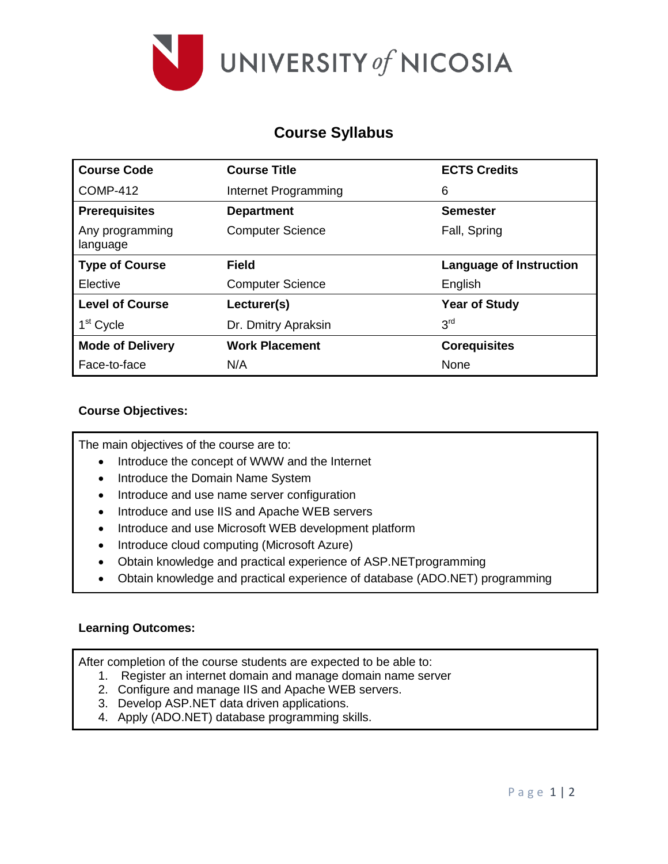

# **Course Syllabus**

| <b>Course Code</b>          | <b>Course Title</b>     | <b>ECTS Credits</b>     |  |
|-----------------------------|-------------------------|-------------------------|--|
| <b>COMP-412</b>             | Internet Programming    | 6                       |  |
| <b>Prerequisites</b>        | <b>Department</b>       | <b>Semester</b>         |  |
| Any programming<br>language | <b>Computer Science</b> | Fall, Spring            |  |
| <b>Type of Course</b>       | <b>Field</b>            | Language of Instruction |  |
| Elective                    | <b>Computer Science</b> | English                 |  |
| <b>Level of Course</b>      | Lecturer(s)             | <b>Year of Study</b>    |  |
| 1 <sup>st</sup> Cycle       | Dr. Dmitry Apraksin     | 3 <sup>rd</sup>         |  |
| <b>Mode of Delivery</b>     | <b>Work Placement</b>   | <b>Corequisites</b>     |  |
| Face-to-face                | N/A                     | None                    |  |

# **Course Objectives:**

The main objectives of the course are to:

- Introduce the concept of WWW and the Internet
- Introduce the Domain Name System
- Introduce and use name server configuration
- Introduce and use IIS and Apache WEB servers
- Introduce and use Microsoft WEB development platform
- Introduce cloud computing (Microsoft Azure)
- Obtain knowledge and practical experience of ASP.NETprogramming
- Obtain knowledge and practical experience of database (ADO.NET) programming

## **Learning Outcomes:**

After completion of the course students are expected to be able to:

- 1. Register an internet domain and manage domain name server
- 2. Configure and manage IIS and Apache WEB servers.
- 3. Develop ASP.NET data driven applications.
- 4. Apply (ADO.NET) database programming skills.